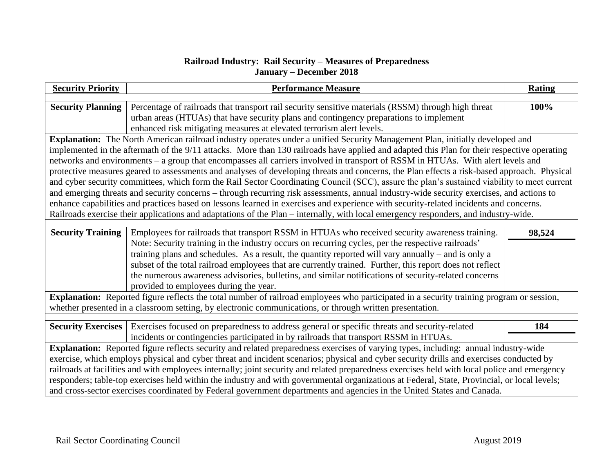## **Railroad Industry: Rail Security – Measures of Preparedness January – December 2018**

| <b>Security Priority</b>                                                                                                                                                                                                                                                       | <b>Performance Measure</b>                                                                               | <b>Rating</b> |  |
|--------------------------------------------------------------------------------------------------------------------------------------------------------------------------------------------------------------------------------------------------------------------------------|----------------------------------------------------------------------------------------------------------|---------------|--|
| <b>Security Planning</b>                                                                                                                                                                                                                                                       | Percentage of railroads that transport rail security sensitive materials (RSSM) through high threat      | 100%          |  |
|                                                                                                                                                                                                                                                                                | urban areas (HTUAs) that have security plans and contingency preparations to implement                   |               |  |
|                                                                                                                                                                                                                                                                                | enhanced risk mitigating measures at elevated terrorism alert levels.                                    |               |  |
| Explanation: The North American railroad industry operates under a unified Security Management Plan, initially developed and                                                                                                                                                   |                                                                                                          |               |  |
| implemented in the aftermath of the 9/11 attacks. More than 130 railroads have applied and adapted this Plan for their respective operating                                                                                                                                    |                                                                                                          |               |  |
| networks and environments - a group that encompasses all carriers involved in transport of RSSM in HTUAs. With alert levels and                                                                                                                                                |                                                                                                          |               |  |
| protective measures geared to assessments and analyses of developing threats and concerns, the Plan effects a risk-based approach. Physical                                                                                                                                    |                                                                                                          |               |  |
| and cyber security committees, which form the Rail Sector Coordinating Council (SCC), assure the plan's sustained viability to meet current                                                                                                                                    |                                                                                                          |               |  |
| and emerging threats and security concerns - through recurring risk assessments, annual industry-wide security exercises, and actions to                                                                                                                                       |                                                                                                          |               |  |
| enhance capabilities and practices based on lessons learned in exercises and experience with security-related incidents and concerns.                                                                                                                                          |                                                                                                          |               |  |
| Railroads exercise their applications and adaptations of the Plan – internally, with local emergency responders, and industry-wide.                                                                                                                                            |                                                                                                          |               |  |
|                                                                                                                                                                                                                                                                                |                                                                                                          |               |  |
| <b>Security Training</b>                                                                                                                                                                                                                                                       | Employees for railroads that transport RSSM in HTUAs who received security awareness training.           | 98,524        |  |
|                                                                                                                                                                                                                                                                                | Note: Security training in the industry occurs on recurring cycles, per the respective railroads'        |               |  |
|                                                                                                                                                                                                                                                                                | training plans and schedules. As a result, the quantity reported will vary annually $-$ and is only a    |               |  |
|                                                                                                                                                                                                                                                                                | subset of the total railroad employees that are currently trained. Further, this report does not reflect |               |  |
|                                                                                                                                                                                                                                                                                | the numerous awareness advisories, bulletins, and similar notifications of security-related concerns     |               |  |
|                                                                                                                                                                                                                                                                                | provided to employees during the year.                                                                   |               |  |
| Explanation: Reported figure reflects the total number of railroad employees who participated in a security training program or session,                                                                                                                                       |                                                                                                          |               |  |
| whether presented in a classroom setting, by electronic communications, or through written presentation.                                                                                                                                                                       |                                                                                                          |               |  |
| <b>Security Exercises</b>                                                                                                                                                                                                                                                      | Exercises focused on preparedness to address general or specific threats and security-related            | 184           |  |
|                                                                                                                                                                                                                                                                                | incidents or contingencies participated in by railroads that transport RSSM in HTUAs.                    |               |  |
|                                                                                                                                                                                                                                                                                |                                                                                                          |               |  |
| Explanation: Reported figure reflects security and related preparedness exercises of varying types, including: annual industry-wide<br>exercise, which employs physical and cyber threat and incident scenarios; physical and cyber security drills and exercises conducted by |                                                                                                          |               |  |
| railroads at facilities and with employees internally; joint security and related preparedness exercises held with local police and emergency                                                                                                                                  |                                                                                                          |               |  |
| responders; table-top exercises held within the industry and with governmental organizations at Federal, State, Provincial, or local levels;                                                                                                                                   |                                                                                                          |               |  |
| and cross-sector exercises coordinated by Federal government departments and agencies in the United States and Canada.                                                                                                                                                         |                                                                                                          |               |  |
|                                                                                                                                                                                                                                                                                |                                                                                                          |               |  |